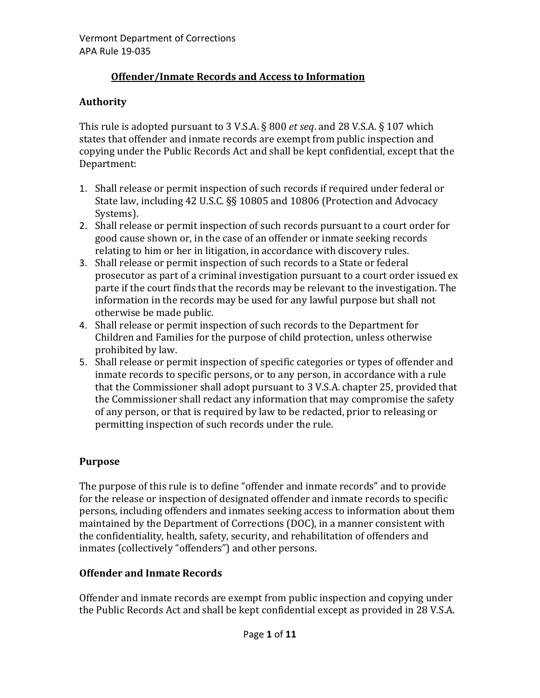# **Offender/Inmate Records and Access to Information**

# **Authority**

This rule is adopted pursuant to 3 V.S.A. § 800 *et seq*. and 28 V.S.A. § 107 which states that offender and inmate records are exempt from public inspection and copying under the Public Records Act and shall be kept confidential, except that the Department:

- 1. Shall release or permit inspection of such records if required under federal or State law, including 42 U.S.C. §§ 10805 and 10806 (Protection and Advocacy Systems).
- 2. Shall release or permit inspection of such records pursuant to a court order for good cause shown or, in the case of an offender or inmate seeking records relating to him or her in litigation, in accordance with discovery rules.
- 3. Shall release or permit inspection of such records to a State or federal prosecutor as part of a criminal investigation pursuant to a court order issued ex parte if the court finds that the records may be relevant to the investigation. The information in the records may be used for any lawful purpose but shall not otherwise be made public.
- 4. Shall release or permit inspection of such records to the Department for Children and Families for the purpose of child protection, unless otherwise prohibited by law.
- 5. Shall release or permit inspection of specific categories or types of offender and inmate records to specific persons, or to any person, in accordance with a rule that the Commissioner shall adopt pursuant to 3 V.S.A. chapter 25, provided that the Commissioner shall redact any information that may compromise the safety of any person, or that is required by law to be redacted, prior to releasing or permitting inspection of such records under the rule.

# **Purpose**

The purpose of this rule is to define "offender and inmate records" and to provide for the release or inspection of designated offender and inmate records to specific persons, including offenders and inmates seeking access to information about them maintained by the Department of Corrections (DOC), in a manner consistent with the confidentiality, health, safety, security, and rehabilitation of offenders and inmates (collectively "offenders") and other persons.

# **Offender and Inmate Records**

Offender and inmate records are exempt from public inspection and copying under the Public Records Act and shall be kept confidential except as provided in 28 V.S.A.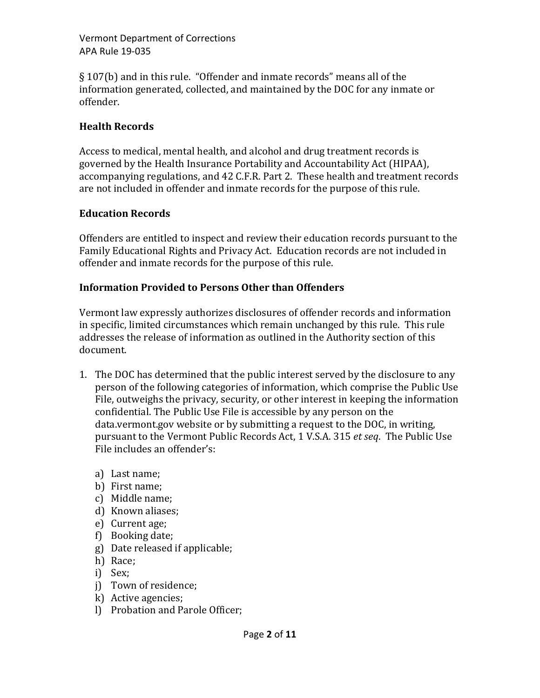§ 107(b) and in this rule. "Offender and inmate records" means all of the information generated, collected, and maintained by the DOC for any inmate or offender.

### **Health Records**

Access to medical, mental health, and alcohol and drug treatment records is governed by the Health Insurance Portability and Accountability Act (HIPAA), accompanying regulations, and 42 C.F.R. Part 2. These health and treatment records are not included in offender and inmate records for the purpose of this rule.

#### **Education Records**

Offenders are entitled to inspect and review their education records pursuant to the Family Educational Rights and Privacy Act. Education records are not included in offender and inmate records for the purpose of this rule.

### **Information Provided to Persons Other than Offenders**

Vermont law expressly authorizes disclosures of offender records and information in specific, limited circumstances which remain unchanged by this rule. This rule addresses the release of information as outlined in the Authority section of this document.

- 1. The DOC has determined that the public interest served by the disclosure to any person of the following categories of information, which comprise the Public Use File, outweighs the privacy, security, or other interest in keeping the information confidential. The Public Use File is accessible by any person on the data.vermont.gov website or by submitting a request to the DOC, in writing, pursuant to the Vermont Public Records Act, 1 V.S.A. 315 *et seq*. The Public Use File includes an offender's:
	- a) Last name;
	- b) First name;
	- c) Middle name;
	- d) Known aliases;
	- e) Current age;
	- f) Booking date;
	- g) Date released if applicable;
	- h) Race;
	- i) Sex;
	- j) Town of residence;
	- k) Active agencies;
	- l) Probation and Parole Officer;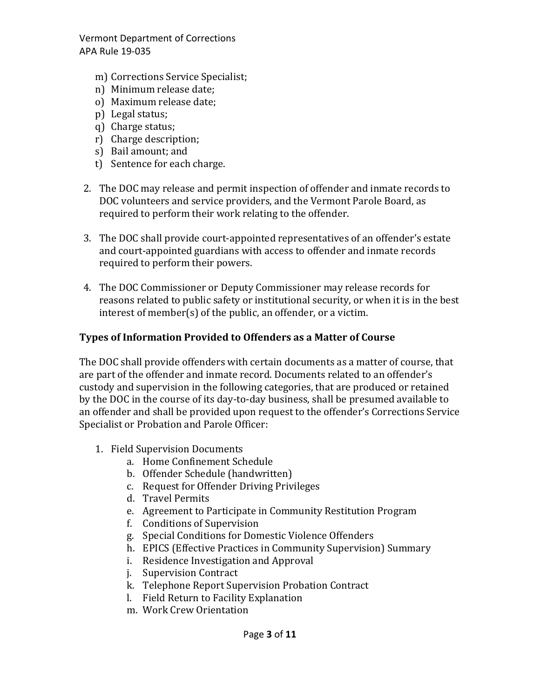- m) Corrections Service Specialist;
- n) Minimum release date;
- o) Maximum release date;
- p) Legal status;
- q) Charge status;
- r) Charge description;
- s) Bail amount; and
- t) Sentence for each charge.
- 2. The DOC may release and permit inspection of offender and inmate records to DOC volunteers and service providers, and the Vermont Parole Board, as required to perform their work relating to the offender.
- 3. The DOC shall provide court-appointed representatives of an offender's estate and court-appointed guardians with access to offender and inmate records required to perform their powers.
- 4. The DOC Commissioner or Deputy Commissioner may release records for reasons related to public safety or institutional security, or when it is in the best interest of member(s) of the public, an offender, or a victim.

# **Types of Information Provided to Offenders as a Matter of Course**

The DOC shall provide offenders with certain documents as a matter of course, that are part of the offender and inmate record. Documents related to an offender's custody and supervision in the following categories, that are produced or retained by the DOC in the course of its day-to-day business, shall be presumed available to an offender and shall be provided upon request to the offender's Corrections Service Specialist or Probation and Parole Officer:

- 1. Field Supervision Documents
	- a. Home Confinement Schedule
	- b. Offender Schedule (handwritten)
	- c. Request for Offender Driving Privileges
	- d. Travel Permits
	- e. Agreement to Participate in Community Restitution Program
	- f. Conditions of Supervision
	- g. Special Conditions for Domestic Violence Offenders
	- h. EPICS (Effective Practices in Community Supervision) Summary
	- i. Residence Investigation and Approval
	- j. Supervision Contract
	- k. Telephone Report Supervision Probation Contract
	- l. Field Return to Facility Explanation
	- m. Work Crew Orientation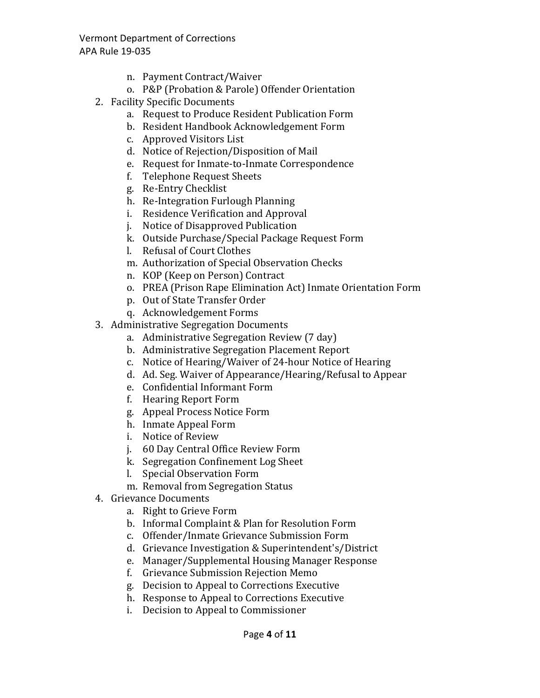- n. Payment Contract/Waiver
- o. P&P (Probation & Parole) Offender Orientation
- 2. Facility Specific Documents
	- a. Request to Produce Resident Publication Form
	- b. Resident Handbook Acknowledgement Form
	- c. Approved Visitors List
	- d. Notice of Rejection/Disposition of Mail
	- e. Request for Inmate-to-Inmate Correspondence
	- f. Telephone Request Sheets
	- g. Re-Entry Checklist
	- h. Re-Integration Furlough Planning
	- i. Residence Verification and Approval
	- j. Notice of Disapproved Publication
	- k. Outside Purchase/Special Package Request Form
	- l. Refusal of Court Clothes
	- m. Authorization of Special Observation Checks
	- n. KOP (Keep on Person) Contract
	- o. PREA (Prison Rape Elimination Act) Inmate Orientation Form
	- p. Out of State Transfer Order
	- q. Acknowledgement Forms
- 3. Administrative Segregation Documents
	- a. Administrative Segregation Review (7 day)
	- b. Administrative Segregation Placement Report
	- c. Notice of Hearing/Waiver of 24-hour Notice of Hearing
	- d. Ad. Seg. Waiver of Appearance/Hearing/Refusal to Appear
	- e. Confidential Informant Form
	- f. Hearing Report Form
	- g. Appeal Process Notice Form
	- h. Inmate Appeal Form
	- i. Notice of Review
	- j. 60 Day Central Office Review Form
	- k. Segregation Confinement Log Sheet
	- l. Special Observation Form
	- m. Removal from Segregation Status
- 4. Grievance Documents
	- a. Right to Grieve Form
	- b. Informal Complaint & Plan for Resolution Form
	- c. Offender/Inmate Grievance Submission Form
	- d. Grievance Investigation & Superintendent's/District
	- e. Manager/Supplemental Housing Manager Response
	- f. Grievance Submission Rejection Memo
	- g. Decision to Appeal to Corrections Executive
	- h. Response to Appeal to Corrections Executive
	- i. Decision to Appeal to Commissioner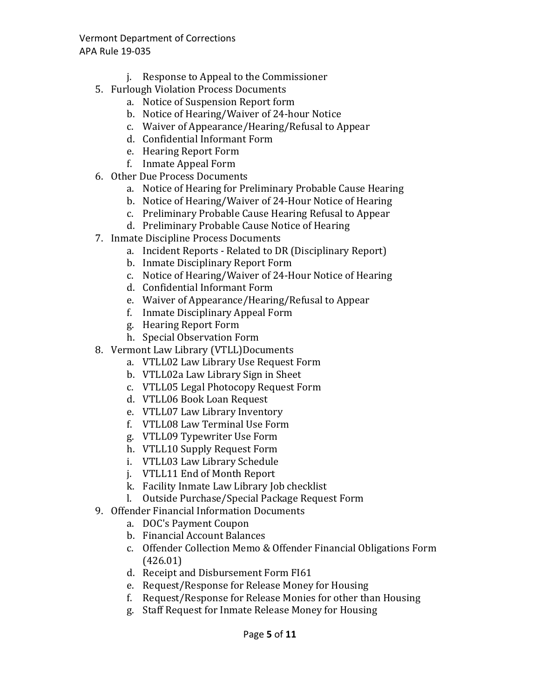- j. Response to Appeal to the Commissioner
- 5. Furlough Violation Process Documents
	- a. Notice of Suspension Report form
	- b. Notice of Hearing/Waiver of 24-hour Notice
	- c. Waiver of Appearance/Hearing/Refusal to Appear
	- d. Confidential Informant Form
	- e. Hearing Report Form
	- f. Inmate Appeal Form
- 6. Other Due Process Documents
	- a. Notice of Hearing for Preliminary Probable Cause Hearing
	- b. Notice of Hearing/Waiver of 24-Hour Notice of Hearing
	- c. Preliminary Probable Cause Hearing Refusal to Appear
	- d. Preliminary Probable Cause Notice of Hearing
- 7. Inmate Discipline Process Documents
	- a. Incident Reports Related to DR (Disciplinary Report)
	- b. Inmate Disciplinary Report Form
	- c. Notice of Hearing/Waiver of 24-Hour Notice of Hearing
	- d. Confidential Informant Form
	- e. Waiver of Appearance/Hearing/Refusal to Appear
	- f. Inmate Disciplinary Appeal Form
	- g. Hearing Report Form
	- h. Special Observation Form
- 8. Vermont Law Library (VTLL)Documents
	- a. VTLL02 Law Library Use Request Form
	- b. VTLL02a Law Library Sign in Sheet
	- c. VTLL05 Legal Photocopy Request Form
	- d. VTLL06 Book Loan Request
	- e. VTLL07 Law Library Inventory
	- f. VTLL08 Law Terminal Use Form
	- g. VTLL09 Typewriter Use Form
	- h. VTLL10 Supply Request Form
	- i. VTLL03 Law Library Schedule
	- j. VTLL11 End of Month Report
	- k. Facility Inmate Law Library Job checklist
	- l. Outside Purchase/Special Package Request Form
- 9. Offender Financial Information Documents
	- a. DOC's Payment Coupon
	- b. Financial Account Balances
	- c. Offender Collection Memo & Offender Financial Obligations Form (426.01)
	- d. Receipt and Disbursement Form FI61
	- e. Request/Response for Release Money for Housing
	- f. Request/Response for Release Monies for other than Housing
	- g. Staff Request for Inmate Release Money for Housing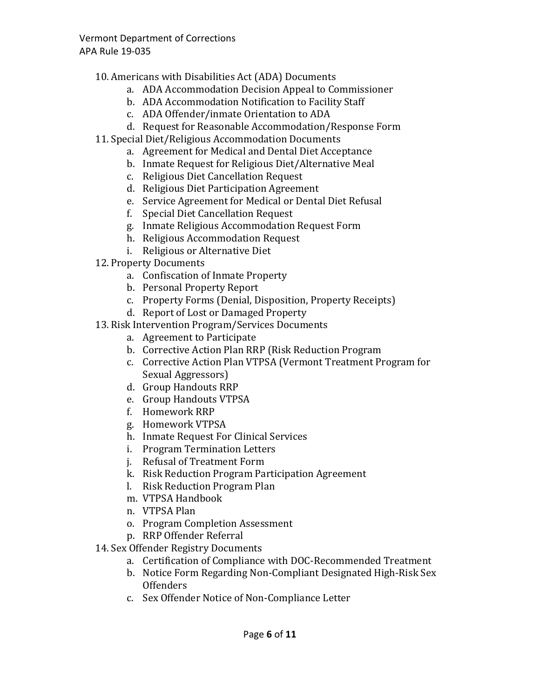- 10. Americans with Disabilities Act (ADA) Documents
	- a. ADA Accommodation Decision Appeal to Commissioner
	- b. ADA Accommodation Notification to Facility Staff
	- c. ADA Offender/inmate Orientation to ADA
	- d. Request for Reasonable Accommodation/Response Form
- 11. Special Diet/Religious Accommodation Documents
	- a. Agreement for Medical and Dental Diet Acceptance
	- b. Inmate Request for Religious Diet/Alternative Meal
	- c. Religious Diet Cancellation Request
	- d. Religious Diet Participation Agreement
	- e. Service Agreement for Medical or Dental Diet Refusal
	- f. Special Diet Cancellation Request
	- g. Inmate Religious Accommodation Request Form
	- h. Religious Accommodation Request
	- i. Religious or Alternative Diet
- 12. Property Documents
	- a. Confiscation of Inmate Property
	- b. Personal Property Report
	- c. Property Forms (Denial, Disposition, Property Receipts)
	- d. Report of Lost or Damaged Property
- 13. Risk Intervention Program/Services Documents
	- a. Agreement to Participate
	- b. Corrective Action Plan RRP (Risk Reduction Program
	- c. Corrective Action Plan VTPSA (Vermont Treatment Program for Sexual Aggressors)
	- d. Group Handouts RRP
	- e. Group Handouts VTPSA
	- f. Homework RRP
	- g. Homework VTPSA
	- h. Inmate Request For Clinical Services
	- i. Program Termination Letters
	- j. Refusal of Treatment Form
	- k. Risk Reduction Program Participation Agreement
	- l. Risk Reduction Program Plan
	- m. VTPSA Handbook
	- n. VTPSA Plan
	- o. Program Completion Assessment
	- p. RRP Offender Referral
- 14. Sex Offender Registry Documents
	- a. Certification of Compliance with DOC-Recommended Treatment
	- b. Notice Form Regarding Non-Compliant Designated High-Risk Sex **Offenders**
	- c. Sex Offender Notice of Non-Compliance Letter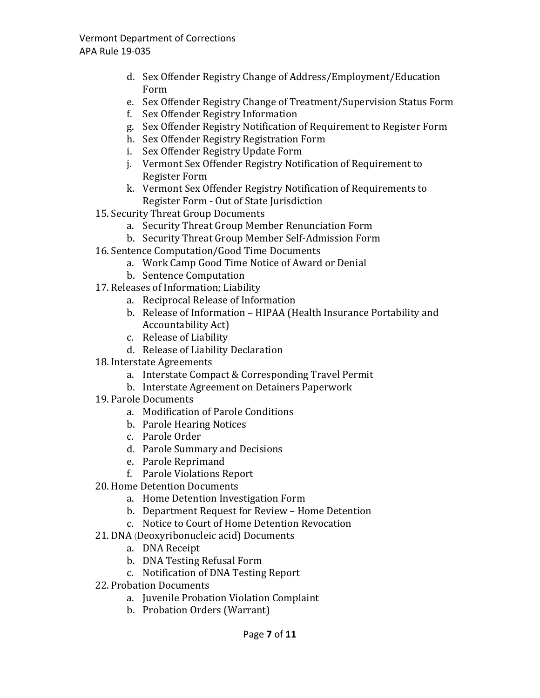- d. Sex Offender Registry Change of Address/Employment/Education Form
- e. Sex Offender Registry Change of Treatment/Supervision Status Form
- f. Sex Offender Registry Information
- g. Sex Offender Registry Notification of Requirement to Register Form
- h. Sex Offender Registry Registration Form
- i. Sex Offender Registry Update Form
- j. Vermont Sex Offender Registry Notification of Requirement to Register Form
- k. Vermont Sex Offender Registry Notification of Requirements to Register Form - Out of State Jurisdiction
- 15. Security Threat Group Documents
	- a. Security Threat Group Member Renunciation Form
	- b. Security Threat Group Member Self-Admission Form
- 16. Sentence Computation/Good Time Documents
	- a. Work Camp Good Time Notice of Award or Denial
	- b. Sentence Computation
- 17. Releases of Information; Liability
	- a. Reciprocal Release of Information
	- b. Release of Information HIPAA (Health Insurance Portability and Accountability Act)
	- c. Release of Liability
	- d. Release of Liability Declaration
- 18. Interstate Agreements
	- a. Interstate Compact & Corresponding Travel Permit
	- b. Interstate Agreement on Detainers Paperwork
- 19. Parole Documents
	- a. Modification of Parole Conditions
	- b. Parole Hearing Notices
	- c. Parole Order
	- d. Parole Summary and Decisions
	- e. Parole Reprimand
	- f. Parole Violations Report
- 20. Home Detention Documents
	- a. Home Detention Investigation Form
	- b. Department Request for Review Home Detention
	- c. Notice to Court of Home Detention Revocation
- 21. DNA (Deoxyribonucleic acid) Documents
	- a. DNA Receipt
	- b. DNA Testing Refusal Form
	- c. Notification of DNA Testing Report
- 22. Probation Documents
	- a. Juvenile Probation Violation Complaint
	- b. Probation Orders (Warrant)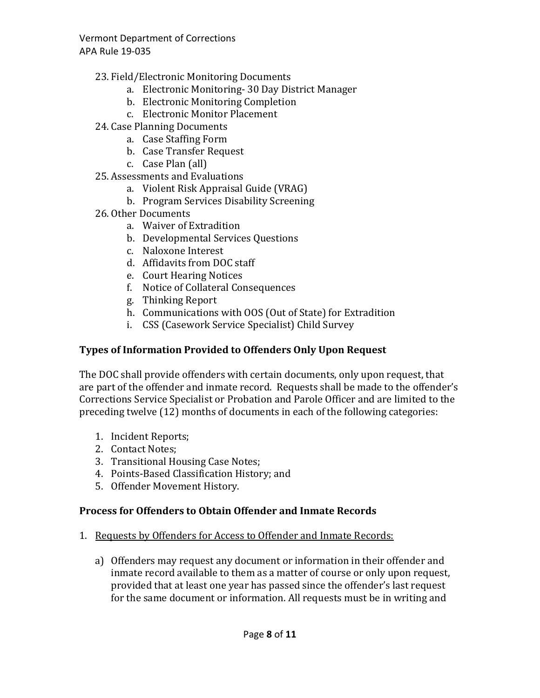- 23. Field/Electronic Monitoring Documents
	- a. Electronic Monitoring- 30 Day District Manager
	- b. Electronic Monitoring Completion
	- c. Electronic Monitor Placement
- 24. Case Planning Documents
	- a. Case Staffing Form
	- b. Case Transfer Request
	- c. Case Plan (all)
- 25. Assessments and Evaluations
	- a. Violent Risk Appraisal Guide (VRAG)
	- b. Program Services Disability Screening
- 26. Other Documents
	- a. Waiver of Extradition
	- b. Developmental Services Questions
	- c. Naloxone Interest
	- d. Affidavits from DOC staff
	- e. Court Hearing Notices
	- f. Notice of Collateral Consequences
	- g. Thinking Report
	- h. Communications with OOS (Out of State) for Extradition
	- i. CSS (Casework Service Specialist) Child Survey

### **Types of Information Provided to Offenders Only Upon Request**

The DOC shall provide offenders with certain documents, only upon request, that are part of the offender and inmate record. Requests shall be made to the offender's Corrections Service Specialist or Probation and Parole Officer and are limited to the preceding twelve (12) months of documents in each of the following categories:

- 1. Incident Reports;
- 2. Contact Notes;
- 3. Transitional Housing Case Notes;
- 4. Points-Based Classification History; and
- 5. Offender Movement History.

# **Process for Offenders to Obtain Offender and Inmate Records**

- 1. Requests by Offenders for Access to Offender and Inmate Records:
	- a) Offenders may request any document or information in their offender and inmate record available to them as a matter of course or only upon request, provided that at least one year has passed since the offender's last request for the same document or information. All requests must be in writing and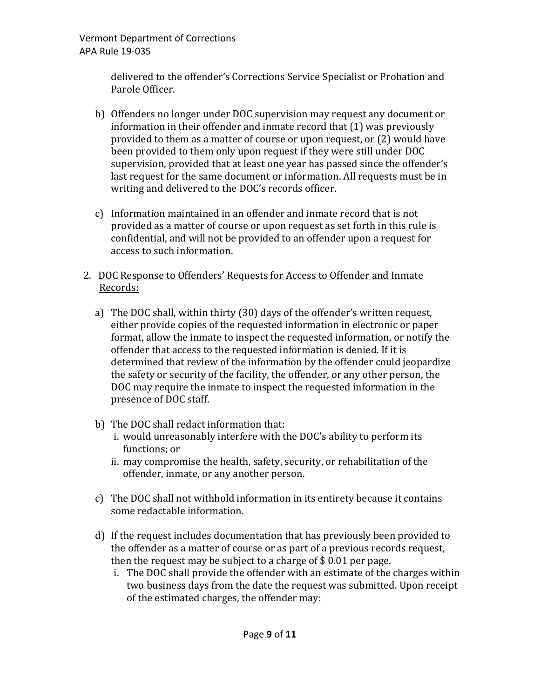> delivered to the offender's Corrections Service Specialist or Probation and Parole Officer.

- b) Offenders no longer under DOC supervision may request any document or information in their offender and inmate record that (1) was previously provided to them as a matter of course or upon request, or (2) would have been provided to them only upon request if they were still under DOC supervision, provided that at least one year has passed since the offender's last request for the same document or information. All requests must be in writing and delivered to the DOC's records officer.
- c) Information maintained in an offender and inmate record that is not provided as a matter of course or upon request as set forth in this rule is confidential, and will not be provided to an offender upon a request for access to such information.
- 2. DOC Response to Offenders' Requests for Access to Offender and Inmate Records:
	- a) The DOC shall, within thirty (30) days of the offender's written request, either provide copies of the requested information in electronic or paper format, allow the inmate to inspect the requested information, or notify the offender that access to the requested information is denied. If it is determined that review of the information by the offender could jeopardize the safety or security of the facility, the offender, or any other person, the DOC may require the inmate to inspect the requested information in the presence of DOC staff.
	- b) The DOC shall redact information that:
		- i. would unreasonably interfere with the DOC's ability to perform its functions; or
		- ii. may compromise the health, safety, security, or rehabilitation of the offender, inmate, or any another person.
	- c) The DOC shall not withhold information in its entirety because it contains some redactable information.
	- d) If the request includes documentation that has previously been provided to the offender as a matter of course or as part of a previous records request, then the request may be subject to a charge of \$ 0.01 per page.
		- i. The DOC shall provide the offender with an estimate of the charges within two business days from the date the request was submitted. Upon receipt of the estimated charges, the offender may: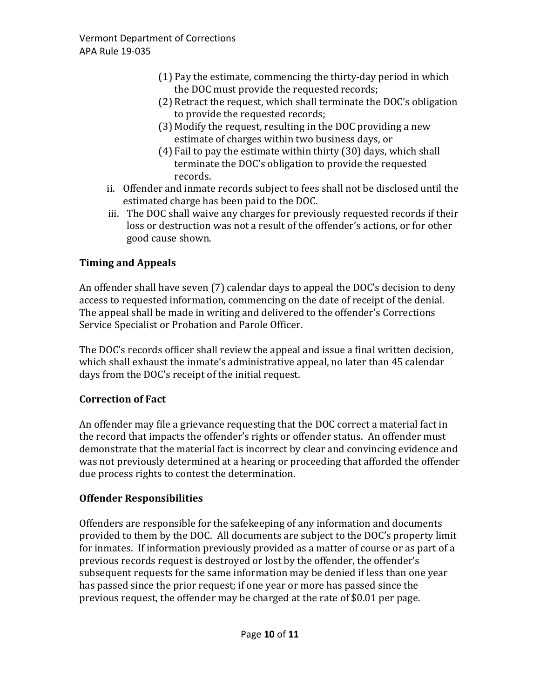- (1) Pay the estimate, commencing the thirty-day period in which the DOC must provide the requested records;
- (2) Retract the request, which shall terminate the DOC's obligation to provide the requested records;
- (3) Modify the request, resulting in the DOC providing a new estimate of charges within two business days, or
- (4) Fail to pay the estimate within thirty (30) days, which shall terminate the DOC's obligation to provide the requested records.
- ii. Offender and inmate records subject to fees shall not be disclosed until the estimated charge has been paid to the DOC.
- iii. The DOC shall waive any charges for previously requested records if their loss or destruction was not a result of the offender's actions, or for other good cause shown.

# **Timing and Appeals**

An offender shall have seven (7) calendar days to appeal the DOC's decision to deny access to requested information, commencing on the date of receipt of the denial. The appeal shall be made in writing and delivered to the offender's Corrections Service Specialist or Probation and Parole Officer.

The DOC's records officer shall review the appeal and issue a final written decision, which shall exhaust the inmate's administrative appeal, no later than 45 calendar days from the DOC's receipt of the initial request.

# **Correction of Fact**

An offender may file a grievance requesting that the DOC correct a material fact in the record that impacts the offender's rights or offender status. An offender must demonstrate that the material fact is incorrect by clear and convincing evidence and was not previously determined at a hearing or proceeding that afforded the offender due process rights to contest the determination.

# **Offender Responsibilities**

Offenders are responsible for the safekeeping of any information and documents provided to them by the DOC. All documents are subject to the DOC's property limit for inmates. If information previously provided as a matter of course or as part of a previous records request is destroyed or lost by the offender, the offender's subsequent requests for the same information may be denied if less than one year has passed since the prior request; if one year or more has passed since the previous request, the offender may be charged at the rate of \$0.01 per page.